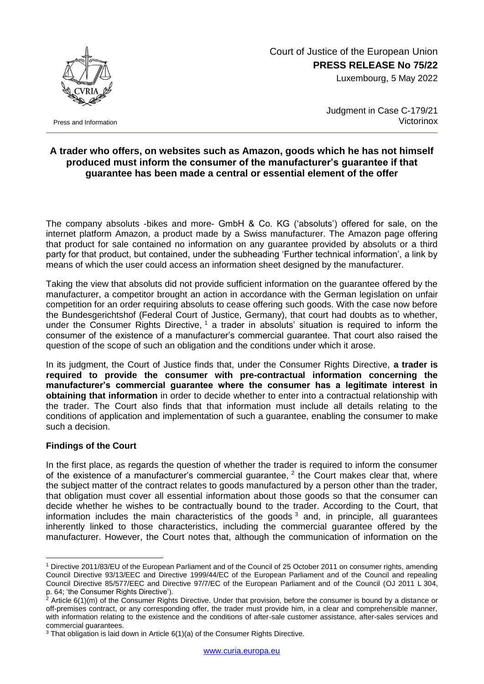

Press and Information

## Court of Justice of the European Union **PRESS RELEASE No 75/22**

Luxembourg, 5 May 2022

Judgment in Case C-179/21 **Victorinox** 

## **A trader who offers, on websites such as Amazon, goods which he has not himself produced must inform the consumer of the manufacturer's guarantee if that guarantee has been made a central or essential element of the offer**

The company absoluts -bikes and more- GmbH & Co. KG ('absoluts') offered for sale, on the internet platform Amazon, a product made by a Swiss manufacturer. The Amazon page offering that product for sale contained no information on any guarantee provided by absoluts or a third party for that product, but contained, under the subheading 'Further technical information', a link by means of which the user could access an information sheet designed by the manufacturer.

Taking the view that absoluts did not provide sufficient information on the guarantee offered by the manufacturer, a competitor brought an action in accordance with the German legislation on unfair competition for an order requiring absoluts to cease offering such goods. With the case now before the Bundesgerichtshof (Federal Court of Justice, Germany), that court had doubts as to whether, under the Consumer Rights Directive,  $1$  a trader in absoluts' situation is required to inform the consumer of the existence of a manufacturer's commercial guarantee. That court also raised the question of the scope of such an obligation and the conditions under which it arose.

In its judgment, the Court of Justice finds that, under the Consumer Rights Directive, **a trader is required to provide the consumer with pre-contractual information concerning the manufacturer's commercial guarantee where the consumer has a legitimate interest in obtaining that information** in order to decide whether to enter into a contractual relationship with the trader. The Court also finds that that information must include all details relating to the conditions of application and implementation of such a guarantee, enabling the consumer to make such a decision.

## **Findings of the Court**

1

In the first place, as regards the question of whether the trader is required to inform the consumer of the existence of a manufacturer's commercial guarantee,  $2$  the Court makes clear that, where the subject matter of the contract relates to goods manufactured by a person other than the trader, that obligation must cover all essential information about those goods so that the consumer can decide whether he wishes to be contractually bound to the trader. According to the Court, that information includes the main characteristics of the goods  $3$  and, in principle, all guarantees inherently linked to those characteristics, including the commercial guarantee offered by the manufacturer. However, the Court notes that, although the communication of information on the

<sup>1</sup> Directive 2011/83/EU of the European Parliament and of the Council of 25 October 2011 on consumer rights, amending Council Directive 93/13/EEC and Directive 1999/44/EC of the European Parliament and of the Council and repealing Council Directive 85/577/EEC and Directive 97/7/EC of the European Parliament and of the Council (OJ 2011 L 304, p. 64; 'the Consumer Rights Directive').

 $2$  Article 6(1)(m) of the Consumer Rights Directive. Under that provision, before the consumer is bound by a distance or off-premises contract, or any corresponding offer, the trader must provide him, in a clear and comprehensible manner, with information relating to the existence and the conditions of after-sale customer assistance, after-sales services and commercial guarantees.

<sup>&</sup>lt;sup>3</sup> That obligation is laid down in Article 6(1)(a) of the Consumer Rights Directive.